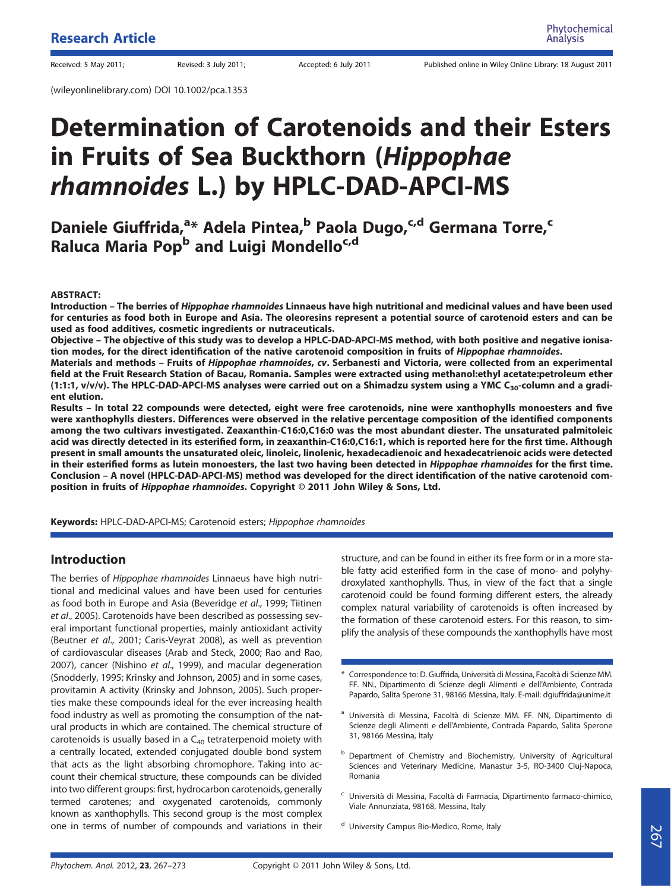(wileyonlinelibrary.com) DOI 10.1002/pca.1353

# Determination of Carotenoids and their Esters in Fruits of Sea Buckthorn (Hippophae rhamnoides L.) by HPLC-DAD-APCI-MS

Daniele Giuffrida,<sup>a</sup>\* Adela Pintea,<sup>b</sup> Paola Dugo,<sup>c,d</sup> Germana Torre,<sup>c</sup> Raluca Maria Pop<sup>b</sup> and Luigi Mondello<sup>c,d</sup>

#### ABSTRACT:

Introduction – The berries of Hippophae rhamnoides Linnaeus have high nutritional and medicinal values and have been used for centuries as food both in Europe and Asia. The oleoresins represent a potential source of carotenoid esters and can be used as food additives, cosmetic ingredients or nutraceuticals.

Objective – The objective of this study was to develop a HPLC-DAD-APCI-MS method, with both positive and negative ionisation modes, for the direct identification of the native carotenoid composition in fruits of Hippophae rhamnoides.

Materials and methods – Fruits of Hippophae rhamnoides, cv. Serbanesti and Victoria, were collected from an experimental field at the Fruit Research Station of Bacau, Romania. Samples were extracted using methanol:ethyl acetate:petroleum ether (1:1:1, v/v/v). The HPLC-DAD-APCI-MS analyses were carried out on a Shimadzu system using a YMC C<sub>30</sub>-column and a gradient elution.

Results – In total 22 compounds were detected, eight were free carotenoids, nine were xanthophylls monoesters and five were xanthophylls diesters. Differences were observed in the relative percentage composition of the identified components among the two cultivars investigated. Zeaxanthin-C16:0,C16:0 was the most abundant diester. The unsaturated palmitoleic acid was directly detected in its esterified form, in zeaxanthin-C16:0,C16:1, which is reported here for the first time. Although present in small amounts the unsaturated oleic, linoleic, linolenic, hexadecadienoic and hexadecatrienoic acids were detected in their esterified forms as lutein monoesters, the last two having been detected in Hippophae rhamnoides for the first time. Conclusion – A novel (HPLC-DAD-APCI-MS) method was developed for the direct identification of the native carotenoid composition in fruits of Hippophae rhamnoides. Copyright © 2011 John Wiley & Sons, Ltd.

Keywords: HPLC-DAD-APCI-MS; Carotenoid esters; Hippophae rhamnoides

## Introduction

The berries of Hippophae rhamnoides Linnaeus have high nutritional and medicinal values and have been used for centuries as food both in Europe and Asia (Beveridge et al., 1999; Tiitinen et al., 2005). Carotenoids have been described as possessing several important functional properties, mainly antioxidant activity (Beutner et al., 2001; Caris-Veyrat 2008), as well as prevention of cardiovascular diseases (Arab and Steck, 2000; Rao and Rao, 2007), cancer (Nishino et al., 1999), and macular degeneration (Snodderly, 1995; Krinsky and Johnson, 2005) and in some cases, provitamin A activity (Krinsky and Johnson, 2005). Such properties make these compounds ideal for the ever increasing health food industry as well as promoting the consumption of the natural products in which are contained. The chemical structure of carotenoids is usually based in a  $C_{40}$  tetraterpenoid moiety with a centrally located, extended conjugated double bond system that acts as the light absorbing chromophore. Taking into account their chemical structure, these compounds can be divided into two different groups: first, hydrocarbon carotenoids, generally termed carotenes; and oxygenated carotenoids, commonly known as xanthophylls. This second group is the most complex one in terms of number of compounds and variations in their

structure, and can be found in either its free form or in a more stable fatty acid esterified form in the case of mono- and polyhydroxylated xanthophylls. Thus, in view of the fact that a single carotenoid could be found forming different esters, the already complex natural variability of carotenoids is often increased by the formation of these carotenoid esters. For this reason, to simplify the analysis of these compounds the xanthophylls have most

- \* Correspondence to: D. Giuffrida, Università di Messina, Facoltà di Scienze MM. FF. NN., Dipartimento di Scienze degli Alimenti e dell'Ambiente, Contrada Papardo, Salita Sperone 31, 98166 Messina, Italy. E-mail: dgiuffrida@unime.it
- <sup>a</sup> Università di Messina, Facoltà di Scienze MM. FF. NN, Dipartimento di Scienze degli Alimenti e dell'Ambiente, Contrada Papardo, Salita Sperone 31, 98166 Messina, Italy
- b Department of Chemistry and Biochemistry, University of Agricultural Sciences and Veterinary Medicine, Manastur 3-5, RO-3400 Cluj-Napoca, Romania
- <sup>c</sup> Università di Messina, Facoltà di Farmacia, Dipartimento farmaco-chimico, Viale Annunziata, 98168, Messina, Italy

<sup>d</sup> University Campus Bio-Medico, Rome, Italy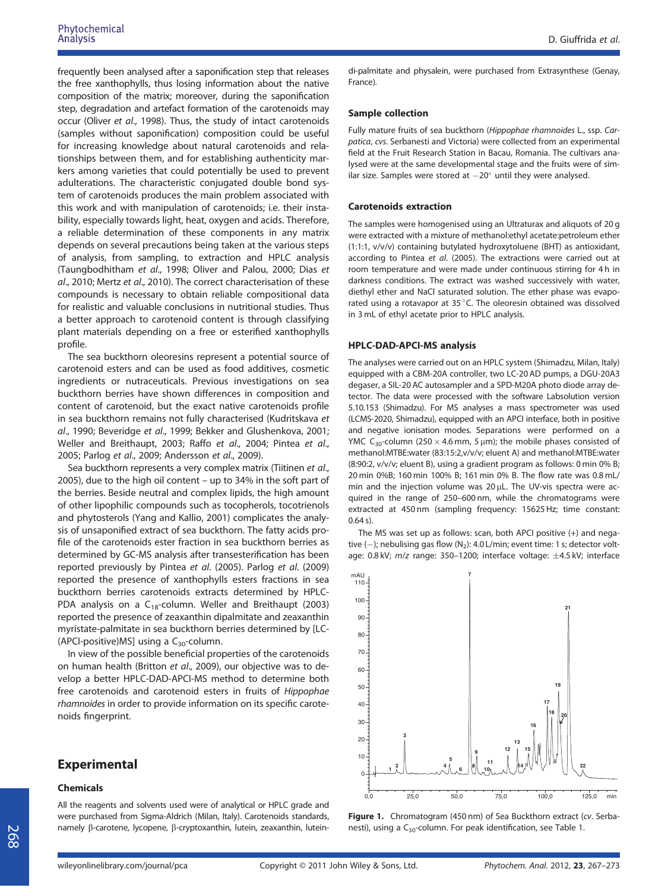D. Giuffrida et al.

frequently been analysed after a saponification step that releases the free xanthophylls, thus losing information about the native composition of the matrix; moreover, during the saponification step, degradation and artefact formation of the carotenoids may occur (Oliver et al., 1998). Thus, the study of intact carotenoids (samples without saponification) composition could be useful for increasing knowledge about natural carotenoids and relationships between them, and for establishing authenticity markers among varieties that could potentially be used to prevent adulterations. The characteristic conjugated double bond system of carotenoids produces the main problem associated with this work and with manipulation of carotenoids; i.e. their instability, especially towards light, heat, oxygen and acids. Therefore, a reliable determination of these components in any matrix depends on several precautions being taken at the various steps of analysis, from sampling, to extraction and HPLC analysis (Taungbodhitham et al., 1998; Oliver and Palou, 2000; Dias et al., 2010; Mertz et al., 2010). The correct characterisation of these compounds is necessary to obtain reliable compositional data for realistic and valuable conclusions in nutritional studies. Thus a better approach to carotenoid content is through classifying plant materials depending on a free or esterified xanthophylls profile.

The sea buckthorn oleoresins represent a potential source of carotenoid esters and can be used as food additives, cosmetic ingredients or nutraceuticals. Previous investigations on sea buckthorn berries have shown differences in composition and content of carotenoid, but the exact native carotenoids profile in sea buckthorn remains not fully characterised (Kudritskava et al., 1990; Beveridge et al., 1999; Bekker and Glushenkova, 2001; Weller and Breithaupt, 2003; Raffo et al., 2004; Pintea et al., 2005; Parlog et al., 2009; Andersson et al., 2009).

Sea buckthorn represents a very complex matrix (Tiitinen et al., 2005), due to the high oil content – up to 34% in the soft part of the berries. Beside neutral and complex lipids, the high amount of other lipophilic compounds such as tocopherols, tocotrienols and phytosterols (Yang and Kallio, 2001) complicates the analysis of unsaponified extract of sea buckthorn. The fatty acids profile of the carotenoids ester fraction in sea buckthorn berries as determined by GC-MS analysis after transesterification has been reported previously by Pintea et al. (2005). Parlog et al. (2009) reported the presence of xanthophylls esters fractions in sea buckthorn berries carotenoids extracts determined by HPLC-PDA analysis on a  $C_{18}$ -column. Weller and Breithaupt (2003) reported the presence of zeaxanthin dipalmitate and zeaxanthin myristate-palmitate in sea buckthorn berries determined by [LC- (APCI-positive)MS] using a  $C_{30}$ -column.

In view of the possible beneficial properties of the carotenoids on human health (Britton et al., 2009), our objective was to develop a better HPLC-DAD-APCI-MS method to determine both free carotenoids and carotenoid esters in fruits of Hippophae rhamnoides in order to provide information on its specific carotenoids fingerprint.

## Experimental

## Chemicals

All the reagents and solvents used were of analytical or HPLC grade and were purchased from Sigma-Aldrich (Milan, Italy). Carotenoids standards, namely β-carotene, lycopene, β-cryptoxanthin, lutein, zeaxanthin, lutein-

di-palmitate and physalein, were purchased from Extrasynthese (Genay, France).

#### Sample collection

Fully mature fruits of sea buckthorn (Hippophae rhamnoides L., ssp. Carpatica, cvs. Serbanesti and Victoria) were collected from an experimental field at the Fruit Research Station in Bacau, Romania. The cultivars analysed were at the same developmental stage and the fruits were of similar size. Samples were stored at  $-20^\circ$  until they were analysed.

#### Carotenoids extraction

The samples were homogenised using an Ultraturax and aliquots of 20 g were extracted with a mixture of methanol:ethyl acetate:petroleum ether (1:1:1, v/v/v) containing butylated hydroxytoluene (BHT) as antioxidant, according to Pintea et al. (2005). The extractions were carried out at room temperature and were made under continuous stirring for 4 h in darkness conditions. The extract was washed successively with water, diethyl ether and NaCl saturated solution. The ether phase was evaporated using a rotavapor at  $35^{\circ}$ C. The oleoresin obtained was dissolved in 3 mL of ethyl acetate prior to HPLC analysis.

### HPLC-DAD-APCI-MS analysis

The analyses were carried out on an HPLC system (Shimadzu, Milan, Italy) equipped with a CBM-20A controller, two LC-20 AD pumps, a DGU-20A3 degaser, a SIL-20 AC autosampler and a SPD-M20A photo diode array detector. The data were processed with the software Labsolution version 5.10.153 (Shimadzu). For MS analyses a mass spectrometer was used (LCMS-2020, Shimadzu), equipped with an APCI interface, both in positive and negative ionisation modes. Separations were performed on a YMC  $C_{30}$ -column (250  $\times$  4.6 mm, 5 µm); the mobile phases consisted of methanol:MTBE:water (83:15:2,v/v/v; eluent A) and methanol:MTBE:water (8:90:2, v/v/v; eluent B), using a gradient program as follows: 0 min 0% B; 20 min 0%B; 160 min 100% B; 161 min 0% B. The flow rate was 0.8 mL/ min and the injection volume was  $20 \mu$ L. The UV-vis spectra were acquired in the range of 250–600 nm, while the chromatograms were extracted at 450 nm (sampling frequency: 15625 Hz; time constant:  $(0.64 s)$ 

The MS was set up as follows: scan, both APCI positive (+) and negative  $(-)$ ; nebulising gas flow  $(N_2)$ : 4.0 L/min; event time: 1 s; detector voltage: 0.8 kV;  $m/z$  range: 350-1200; interface voltage:  $\pm$ 4.5 kV; interface



Figure 1. Chromatogram (450 nm) of Sea Buckthorn extract (cv. Serbanesti), using a C<sub>30</sub>-column. For peak identification, see Table 1.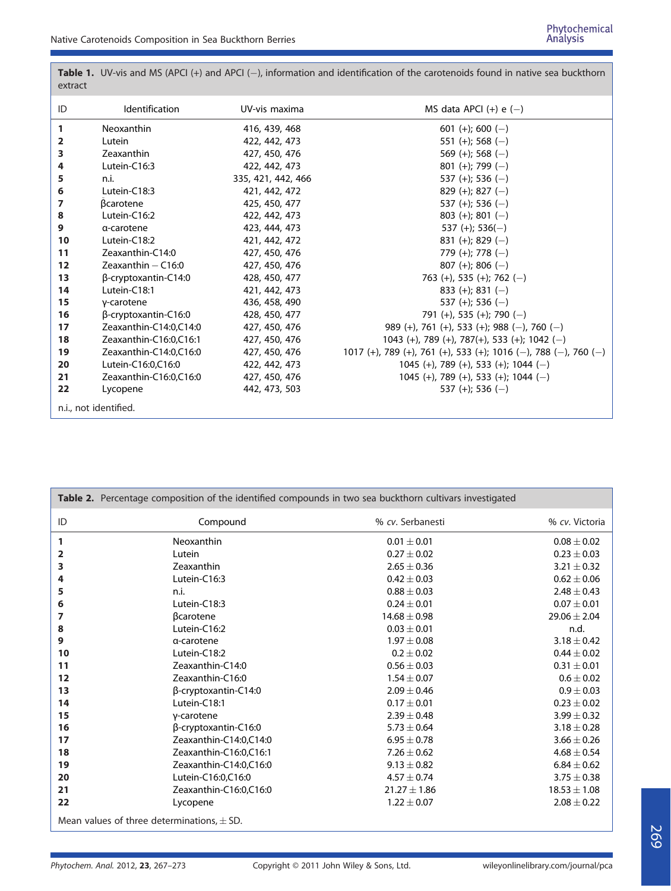Table 1. UV-vis and MS (APCI (+) and APCI (-), information and identification of the carotenoids found in native sea buckthorn extract

| ID                    | Identification              | UV-vis maxima      | MS data APCI $(+)$ e $(-)$                                      |  |
|-----------------------|-----------------------------|--------------------|-----------------------------------------------------------------|--|
| 1                     | Neoxanthin                  | 416, 439, 468      | 601 (+); 600 (-)                                                |  |
| 2                     | Lutein                      | 422, 442, 473      | 551 (+); 568 (-)                                                |  |
| 3                     | Zeaxanthin                  | 427, 450, 476      | 569 (+); 568 (-)                                                |  |
| 4                     | Lutein-C16:3                | 422, 442, 473      | 801 (+); 799 (-)                                                |  |
| 5                     | n.i.                        | 335, 421, 442, 466 | 537 (+); 536 (-)                                                |  |
| 6                     | Lutein-C18:3                | 421, 442, 472      | 829 (+); 827 (-)                                                |  |
| 7                     | βcarotene                   | 425, 450, 477      | 537 (+); 536 (-)                                                |  |
| 8                     | Lutein-C16:2                | 422, 442, 473      | 803 (+): 801 (-)                                                |  |
| 9                     | a-carotene                  | 423, 444, 473      | 537 (+); $536(-)$                                               |  |
| 10                    | Lutein-C18:2                | 421, 442, 472      | 831 (+); 829 (-)                                                |  |
| 11                    | Zeaxanthin-C14:0            | 427, 450, 476      | 779 (+); 778 (-)                                                |  |
| 12                    | Zeaxanthin $-$ C16:0        | 427, 450, 476      | 807 (+); 806 (-)                                                |  |
| 13                    | $\beta$ -cryptoxantin-C14:0 | 428, 450, 477      | 763 (+), 535 (+); 762 (-)                                       |  |
| 14                    | Lutein-C18:1                | 421, 442, 473      | 833 (+); 831 (-)                                                |  |
| 15                    | y-carotene                  | 436, 458, 490      | 537 (+); 536 (-)                                                |  |
| 16                    | $\beta$ -cryptoxantin-C16:0 | 428, 450, 477      | 791 (+), 535 (+); 790 (-)                                       |  |
| 17                    | Zeaxanthin-C14:0,C14:0      | 427, 450, 476      | 989 (+), 761 (+), 533 (+); 988 (-), 760 (-)                     |  |
| 18                    | Zeaxanthin-C16:0,C16:1      | 427, 450, 476      | 1043 (+), 789 (+), 787(+), 533 (+); 1042 (-)                    |  |
| 19                    | Zeaxanthin-C14:0,C16:0      | 427, 450, 476      | 1017 (+), 789 (+), 761 (+), 533 (+); 1016 (-), 788 (-), 760 (-) |  |
| 20                    | Lutein-C16:0,C16:0          | 422, 442, 473      | 1045 (+), 789 (+), 533 (+); 1044 (-)                            |  |
| 21                    | Zeaxanthin-C16:0,C16:0      | 427, 450, 476      | 1045 (+), 789 (+), 533 (+); 1044 (-)                            |  |
| 22                    | Lycopene                    | 442, 473, 503      | 537 (+); 536 (-)                                                |  |
| n.i., not identified. |                             |                    |                                                                 |  |

| Table 2. Percentage composition of the identified compounds in two sea buckthorn cultivars investigated |                             |                  |                  |  |  |
|---------------------------------------------------------------------------------------------------------|-----------------------------|------------------|------------------|--|--|
| ID                                                                                                      | Compound                    | % cv. Serbanesti | % cv. Victoria   |  |  |
| 1                                                                                                       | Neoxanthin                  | $0.01 \pm 0.01$  | $0.08 \pm 0.02$  |  |  |
| 2                                                                                                       | Lutein                      | $0.27 \pm 0.02$  | $0.23 \pm 0.03$  |  |  |
| 3                                                                                                       | Zeaxanthin                  | $2.65 \pm 0.36$  | $3.21 \pm 0.32$  |  |  |
| 4                                                                                                       | Lutein-C16:3                | $0.42 \pm 0.03$  | $0.62 \pm 0.06$  |  |  |
| 5                                                                                                       | n.i.                        | $0.88 \pm 0.03$  | $2.48 \pm 0.43$  |  |  |
| 6                                                                                                       | Lutein-C18:3                | $0.24 \pm 0.01$  | $0.07 \pm 0.01$  |  |  |
| 7                                                                                                       | β <sub>carotene</sub>       | $14.68 \pm 0.98$ | $29.06 \pm 2.04$ |  |  |
| 8                                                                                                       | Lutein-C16:2                | $0.03 \pm 0.01$  | n.d.             |  |  |
| 9                                                                                                       | a-carotene                  | $1.97 \pm 0.08$  | $3.18 \pm 0.42$  |  |  |
| 10                                                                                                      | Lutein-C18:2                | $0.2 \pm 0.02$   | $0.44 \pm 0.02$  |  |  |
| 11                                                                                                      | Zeaxanthin-C14:0            | $0.56 \pm 0.03$  | $0.31 \pm 0.01$  |  |  |
| 12                                                                                                      | Zeaxanthin-C16:0            | $1.54 \pm 0.07$  | $0.6 \pm 0.02$   |  |  |
| 13                                                                                                      | $\beta$ -cryptoxantin-C14:0 | $2.09 \pm 0.46$  | $0.9 \pm 0.03$   |  |  |
| 14                                                                                                      | Lutein-C18:1                | $0.17 \pm 0.01$  | $0.23 \pm 0.02$  |  |  |
| 15                                                                                                      | γ-carotene                  | $2.39 \pm 0.48$  | $3.99 \pm 0.32$  |  |  |
| 16                                                                                                      | $\beta$ -cryptoxantin-C16:0 | $5.73 \pm 0.64$  | $3.18 \pm 0.28$  |  |  |
| 17                                                                                                      | Zeaxanthin-C14:0,C14:0      | $6.95 \pm 0.78$  | $3.66 \pm 0.26$  |  |  |
| 18                                                                                                      | Zeaxanthin-C16:0,C16:1      | $7.26 \pm 0.62$  | $4.68 \pm 0.54$  |  |  |
| 19                                                                                                      | Zeaxanthin-C14:0,C16:0      | $9.13 \pm 0.82$  | $6.84 \pm 0.62$  |  |  |
| 20                                                                                                      | Lutein-C16:0,C16:0          | $4.57 \pm 0.74$  | $3.75 \pm 0.38$  |  |  |
| 21                                                                                                      | Zeaxanthin-C16:0,C16:0      | $21.27 \pm 1.86$ | $18.53 \pm 1.08$ |  |  |
| 22                                                                                                      | Lycopene                    | $1.22 \pm 0.07$  | $2.08 \pm 0.22$  |  |  |
| Mean values of three determinations, $\pm$ SD.                                                          |                             |                  |                  |  |  |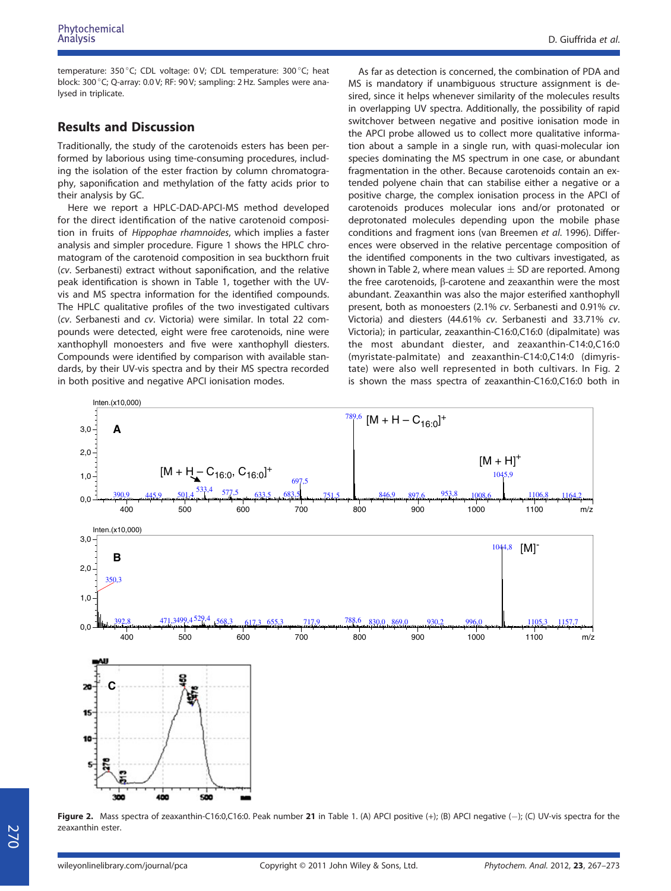temperature:  $350^{\circ}$ C; CDL voltage: 0V; CDL temperature:  $300^{\circ}$ C; heat block: 300 °C; Q-array: 0.0 V; RF: 90 V; sampling: 2 Hz. Samples were analysed in triplicate.

# Results and Discussion

Traditionally, the study of the carotenoids esters has been performed by laborious using time-consuming procedures, including the isolation of the ester fraction by column chromatography, saponification and methylation of the fatty acids prior to their analysis by GC.

Here we report a HPLC-DAD-APCI-MS method developed for the direct identification of the native carotenoid composition in fruits of Hippophae rhamnoides, which implies a faster analysis and simpler procedure. Figure 1 shows the HPLC chromatogram of the carotenoid composition in sea buckthorn fruit (cv. Serbanesti) extract without saponification, and the relative peak identification is shown in Table 1, together with the UVvis and MS spectra information for the identified compounds. The HPLC qualitative profiles of the two investigated cultivars (cv. Serbanesti and cv. Victoria) were similar. In total 22 compounds were detected, eight were free carotenoids, nine were xanthophyll monoesters and five were xanthophyll diesters. Compounds were identified by comparison with available standards, by their UV-vis spectra and by their MS spectra recorded in both positive and negative APCI ionisation modes.

As far as detection is concerned, the combination of PDA and MS is mandatory if unambiguous structure assignment is desired, since it helps whenever similarity of the molecules results in overlapping UV spectra. Additionally, the possibility of rapid switchover between negative and positive ionisation mode in the APCI probe allowed us to collect more qualitative information about a sample in a single run, with quasi-molecular ion species dominating the MS spectrum in one case, or abundant fragmentation in the other. Because carotenoids contain an extended polyene chain that can stabilise either a negative or a positive charge, the complex ionisation process in the APCI of carotenoids produces molecular ions and/or protonated or deprotonated molecules depending upon the mobile phase conditions and fragment ions (van Breemen et al. 1996). Differences were observed in the relative percentage composition of the identified components in the two cultivars investigated, as shown in Table 2, where mean values  $\pm$  SD are reported. Among the free carotenoids, β-carotene and zeaxanthin were the most abundant. Zeaxanthin was also the major esterified xanthophyll present, both as monoesters (2.1% cv. Serbanesti and 0.91% cv. Victoria) and diesters (44.61% cv. Serbanesti and 33.71% cv. Victoria); in particular, zeaxanthin-C16:0,C16:0 (dipalmitate) was the most abundant diester, and zeaxanthin-C14:0,C16:0 (myristate-palmitate) and zeaxanthin-C14:0,C14:0 (dimyristate) were also well represented in both cultivars. In Fig. 2 is shown the mass spectra of zeaxanthin-C16:0,C16:0 both in



Figure 2. Mass spectra of zeaxanthin-C16:0,C16:0. Peak number 21 in Table 1. (A) APCI positive  $(+)$ ; (B) APCI negative  $(-)$ ; (C) UV-vis spectra for the zeaxanthin ester.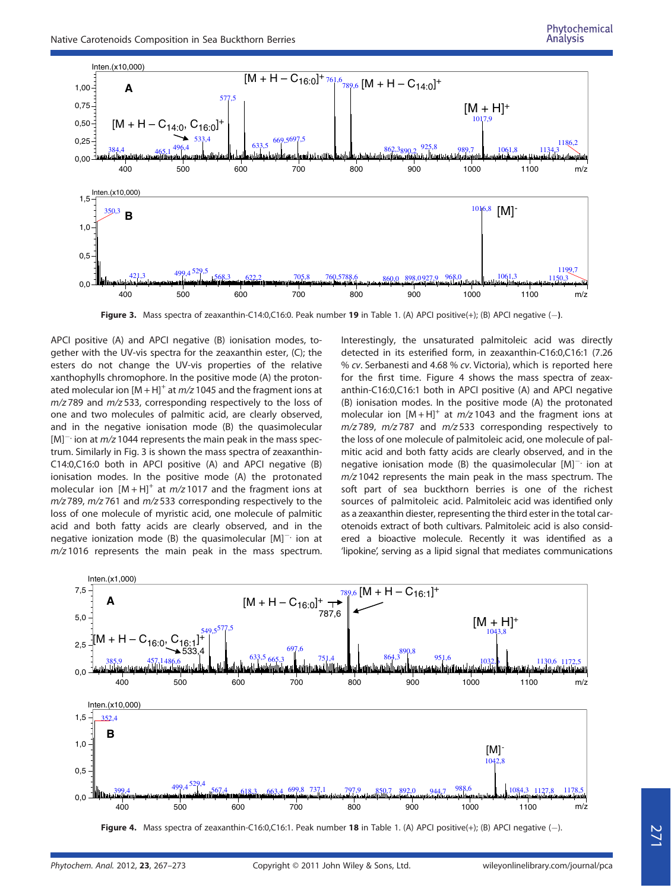

Figure 3. Mass spectra of zeaxanthin-C14:0,C16:0. Peak number 19 in Table 1. (A) APCI positive(+); (B) APCI negative (-).

APCI positive (A) and APCI negative (B) ionisation modes, together with the UV-vis spectra for the zeaxanthin ester, (C); the esters do not change the UV-vis properties of the relative xanthophylls chromophore. In the positive mode (A) the protonated molecular ion  $[M + H]^{+}$  at  $m/z$  1045 and the fragment ions at m/z 789 and m/z 533, corresponding respectively to the loss of one and two molecules of palmitic acid, are clearly observed, and in the negative ionisation mode (B) the quasimolecular  $[M]^{-1}$  ion at  $m/z$  1044 represents the main peak in the mass spectrum. Similarly in Fig. 3 is shown the mass spectra of zeaxanthin-C14:0,C16:0 both in APCI positive (A) and APCI negative (B) ionisation modes. In the positive mode (A) the protonated molecular ion  $[M + H]^{+}$  at  $m/z$  1017 and the fragment ions at m/z 789, m/z 761 and m/z 533 corresponding respectively to the loss of one molecule of myristic acid, one molecule of palmitic acid and both fatty acids are clearly observed, and in the negative ionization mode (B) the quasimolecular  $[M]^{-1}$  ion at  $m/z$  1016 represents the main peak in the mass spectrum. Interestingly, the unsaturated palmitoleic acid was directly detected in its esterified form, in zeaxanthin-C16:0,C16:1 (7.26 % cv. Serbanesti and 4.68 % cv. Victoria), which is reported here for the first time. Figure 4 shows the mass spectra of zeaxanthin-C16:0,C16:1 both in APCI positive (A) and APCI negative (B) ionisation modes. In the positive mode (A) the protonated molecular ion  $[M + H]^{+}$  at  $m/z$  1043 and the fragment ions at m/z 789, m/z 787 and m/z 533 corresponding respectively to the loss of one molecule of palmitoleic acid, one molecule of palmitic acid and both fatty acids are clearly observed, and in the negative ionisation mode (B) the quasimolecular  $[M]^{-1}$  ion at  $m/z$  1042 represents the main peak in the mass spectrum. The soft part of sea buckthorn berries is one of the richest sources of palmitoleic acid. Palmitoleic acid was identified only as a zeaxanthin diester, representing the third ester in the total carotenoids extract of both cultivars. Palmitoleic acid is also considered a bioactive molecule. Recently it was identified as a 'lipokine', serving as a lipid signal that mediates communications



Figure 4. Mass spectra of zeaxanthin-C16:0,C16:1. Peak number 18 in Table 1. (A) APCI positive(+); (B) APCI negative (-).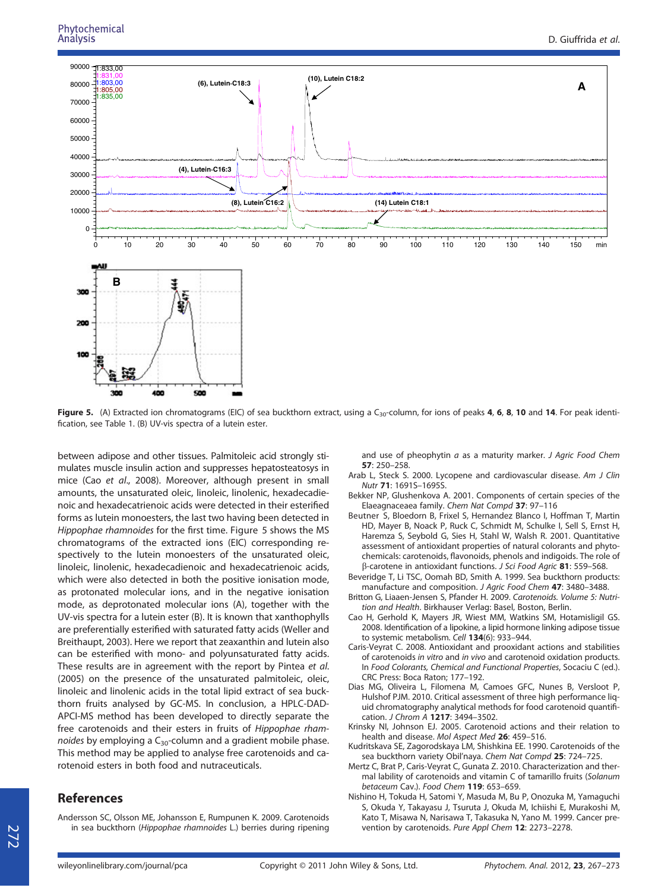

Figure 5. (A) Extracted ion chromatograms (EIC) of sea buckthorn extract, using a C<sub>30</sub>-column, for ions of peaks 4, 6, 8, 10 and 14. For peak identification, see Table 1. (B) UV-vis spectra of a lutein ester.

between adipose and other tissues. Palmitoleic acid strongly stimulates muscle insulin action and suppresses hepatosteatosys in mice (Cao et al., 2008). Moreover, although present in small amounts, the unsaturated oleic, linoleic, linolenic, hexadecadienoic and hexadecatrienoic acids were detected in their esterified forms as lutein monoesters, the last two having been detected in Hippophae rhamnoides for the first time. Figure 5 shows the MS chromatograms of the extracted ions (EIC) corresponding respectively to the lutein monoesters of the unsaturated oleic, linoleic, linolenic, hexadecadienoic and hexadecatrienoic acids, which were also detected in both the positive ionisation mode, as protonated molecular ions, and in the negative ionisation mode, as deprotonated molecular ions (A), together with the UV-vis spectra for a lutein ester (B). It is known that xanthophylls are preferentially esterified with saturated fatty acids (Weller and Breithaupt, 2003). Here we report that zeaxanthin and lutein also can be esterified with mono- and polyunsaturated fatty acids. These results are in agreement with the report by Pintea et al. (2005) on the presence of the unsaturated palmitoleic, oleic, linoleic and linolenic acids in the total lipid extract of sea buckthorn fruits analysed by GC-MS. In conclusion, a HPLC-DAD-APCI-MS method has been developed to directly separate the free carotenoids and their esters in fruits of Hippophae rhamnoides by employing a  $C_{30}$ -column and a gradient mobile phase. This method may be applied to analyse free carotenoids and carotenoid esters in both food and nutraceuticals.

## References

Andersson SC, Olsson ME, Johansson E, Rumpunen K. 2009. Carotenoids in sea buckthorn (Hippophae rhamnoides L.) berries during ripening and use of pheophytin a as a maturity marker. J Agric Food Chem 57: 250–258.

- Arab L, Steck S. 2000. Lycopene and cardiovascular disease. Am J Clin Nutr 71: 1691S–1695S.
- Bekker NP, Glushenkova A. 2001. Components of certain species of the Elaeagnaceaea family. Chem Nat Compd 37: 97–116
- Beutner S, Bloedorn B, Frixel S, Hernandez Blanco I, Hoffman T, Martin HD, Mayer B, Noack P, Ruck C, Schmidt M, Schulke I, Sell S, Ernst H, Haremza S, Seybold G, Sies H, Stahl W, Walsh R. 2001. Quantitative assessment of antioxidant properties of natural colorants and phytochemicals: carotenoids, flavonoids, phenols and indigoids. The role of b-carotene in antioxidant functions. J Sci Food Agric 81: 559–568.
- Beveridge T, Li TSC, Oomah BD, Smith A. 1999. Sea buckthorn products: manufacture and composition. J Agric Food Chem 47: 3480-3488.
- Britton G, Liaaen-Jensen S, Pfander H. 2009. Carotenoids. Volume 5: Nutrition and Health. Birkhauser Verlag: Basel, Boston, Berlin.
- Cao H, Gerhold K, Mayers JR, Wiest MM, Watkins SM, Hotamisligil GS. 2008. Identification of a lipokine, a lipid hormone linking adipose tissue to systemic metabolism. Cell 134(6): 933-944.
- Caris-Veyrat C. 2008. Antioxidant and prooxidant actions and stabilities of carotenoids in vitro and in vivo and carotenoid oxidation products. In Food Colorants, Chemical and Functional Properties, Socaciu C (ed.). CRC Press: Boca Raton; 177–192.
- Dias MG, Oliveira L, Filomena M, Camoes GFC, Nunes B, Versloot P, Hulshof PJM. 2010. Critical assessment of three high performance liquid chromatography analytical methods for food carotenoid quantification. J Chrom A 1217: 3494–3502.
- Krinsky NI, Johnson EJ. 2005. Carotenoid actions and their relation to health and disease. Mol Aspect Med 26: 459–516.
- Kudritskava SE, Zagorodskaya LM, Shishkina EE. 1990. Carotenoids of the sea buckthorn variety Obil'naya. Chem Nat Compd 25: 724-725.
- Mertz C, Brat P, Caris-Veyrat C, Gunata Z. 2010. Characterization and thermal lability of carotenoids and vitamin C of tamarillo fruits (Solanum betaceum Cav.). Food Chem 119: 653-659.
- Nishino H, Tokuda H, Satomi Y, Masuda M, Bu P, Onozuka M, Yamaguchi S, Okuda Y, Takayasu J, Tsuruta J, Okuda M, Ichiishi E, Murakoshi M, Kato T, Misawa N, Narisawa T, Takasuka N, Yano M. 1999. Cancer prevention by carotenoids. Pure Appl Chem 12: 2273–2278.